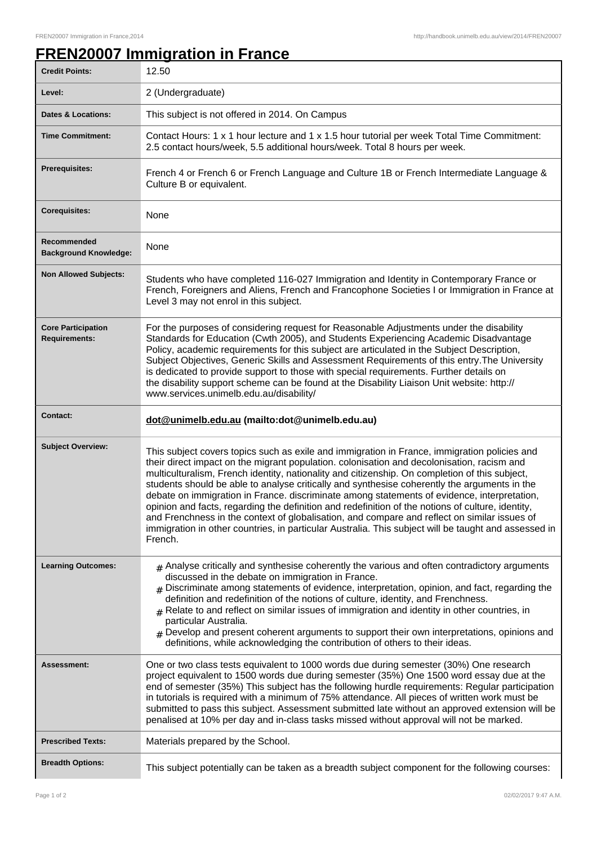٦

## **FREN20007 Immigration in France**

| <b>Credit Points:</b>                             | 12.50                                                                                                                                                                                                                                                                                                                                                                                                                                                                                                                                                                                                                                                                                                                                                                                                               |
|---------------------------------------------------|---------------------------------------------------------------------------------------------------------------------------------------------------------------------------------------------------------------------------------------------------------------------------------------------------------------------------------------------------------------------------------------------------------------------------------------------------------------------------------------------------------------------------------------------------------------------------------------------------------------------------------------------------------------------------------------------------------------------------------------------------------------------------------------------------------------------|
| Level:                                            | 2 (Undergraduate)                                                                                                                                                                                                                                                                                                                                                                                                                                                                                                                                                                                                                                                                                                                                                                                                   |
| <b>Dates &amp; Locations:</b>                     | This subject is not offered in 2014. On Campus                                                                                                                                                                                                                                                                                                                                                                                                                                                                                                                                                                                                                                                                                                                                                                      |
| <b>Time Commitment:</b>                           | Contact Hours: 1 x 1 hour lecture and 1 x 1.5 hour tutorial per week Total Time Commitment:<br>2.5 contact hours/week, 5.5 additional hours/week. Total 8 hours per week.                                                                                                                                                                                                                                                                                                                                                                                                                                                                                                                                                                                                                                           |
| <b>Prerequisites:</b>                             | French 4 or French 6 or French Language and Culture 1B or French Intermediate Language &<br>Culture B or equivalent.                                                                                                                                                                                                                                                                                                                                                                                                                                                                                                                                                                                                                                                                                                |
| <b>Corequisites:</b>                              | None                                                                                                                                                                                                                                                                                                                                                                                                                                                                                                                                                                                                                                                                                                                                                                                                                |
| Recommended<br><b>Background Knowledge:</b>       | None                                                                                                                                                                                                                                                                                                                                                                                                                                                                                                                                                                                                                                                                                                                                                                                                                |
| <b>Non Allowed Subjects:</b>                      | Students who have completed 116-027 Immigration and Identity in Contemporary France or<br>French, Foreigners and Aliens, French and Francophone Societies I or Immigration in France at<br>Level 3 may not enrol in this subject.                                                                                                                                                                                                                                                                                                                                                                                                                                                                                                                                                                                   |
| <b>Core Participation</b><br><b>Requirements:</b> | For the purposes of considering request for Reasonable Adjustments under the disability<br>Standards for Education (Cwth 2005), and Students Experiencing Academic Disadvantage<br>Policy, academic requirements for this subject are articulated in the Subject Description,<br>Subject Objectives, Generic Skills and Assessment Requirements of this entry. The University<br>is dedicated to provide support to those with special requirements. Further details on<br>the disability support scheme can be found at the Disability Liaison Unit website: http://<br>www.services.unimelb.edu.au/disability/                                                                                                                                                                                                    |
| <b>Contact:</b>                                   | dot@unimelb.edu.au (mailto:dot@unimelb.edu.au)                                                                                                                                                                                                                                                                                                                                                                                                                                                                                                                                                                                                                                                                                                                                                                      |
| <b>Subject Overview:</b>                          | This subject covers topics such as exile and immigration in France, immigration policies and<br>their direct impact on the migrant population. colonisation and decolonisation, racism and<br>multiculturalism, French identity, nationality and citizenship. On completion of this subject,<br>students should be able to analyse critically and synthesise coherently the arguments in the<br>debate on immigration in France. discriminate among statements of evidence, interpretation,<br>opinion and facts, regarding the definition and redefinition of the notions of culture, identity,<br>and Frenchness in the context of globalisation, and compare and reflect on similar issues of<br>immigration in other countries, in particular Australia. This subject will be taught and assessed in<br>French. |
| <b>Learning Outcomes:</b>                         | $#$ Analyse critically and synthesise coherently the various and often contradictory arguments<br>discussed in the debate on immigration in France.<br>$_{\text{\#}}$ Discriminate among statements of evidence, interpretation, opinion, and fact, regarding the<br>definition and redefinition of the notions of culture, identity, and Frenchness.<br>$_{\rm H}$ Relate to and reflect on similar issues of immigration and identity in other countries, in<br>particular Australia.<br>$#$ Develop and present coherent arguments to support their own interpretations, opinions and<br>definitions, while acknowledging the contribution of others to their ideas.                                                                                                                                             |
| Assessment:                                       | One or two class tests equivalent to 1000 words due during semester (30%) One research<br>project equivalent to 1500 words due during semester (35%) One 1500 word essay due at the<br>end of semester (35%) This subject has the following hurdle requirements: Regular participation<br>in tutorials is required with a minimum of 75% attendance. All pieces of written work must be<br>submitted to pass this subject. Assessment submitted late without an approved extension will be<br>penalised at 10% per day and in-class tasks missed without approval will not be marked.                                                                                                                                                                                                                               |
| <b>Prescribed Texts:</b>                          | Materials prepared by the School.                                                                                                                                                                                                                                                                                                                                                                                                                                                                                                                                                                                                                                                                                                                                                                                   |
| <b>Breadth Options:</b>                           | This subject potentially can be taken as a breadth subject component for the following courses:                                                                                                                                                                                                                                                                                                                                                                                                                                                                                                                                                                                                                                                                                                                     |